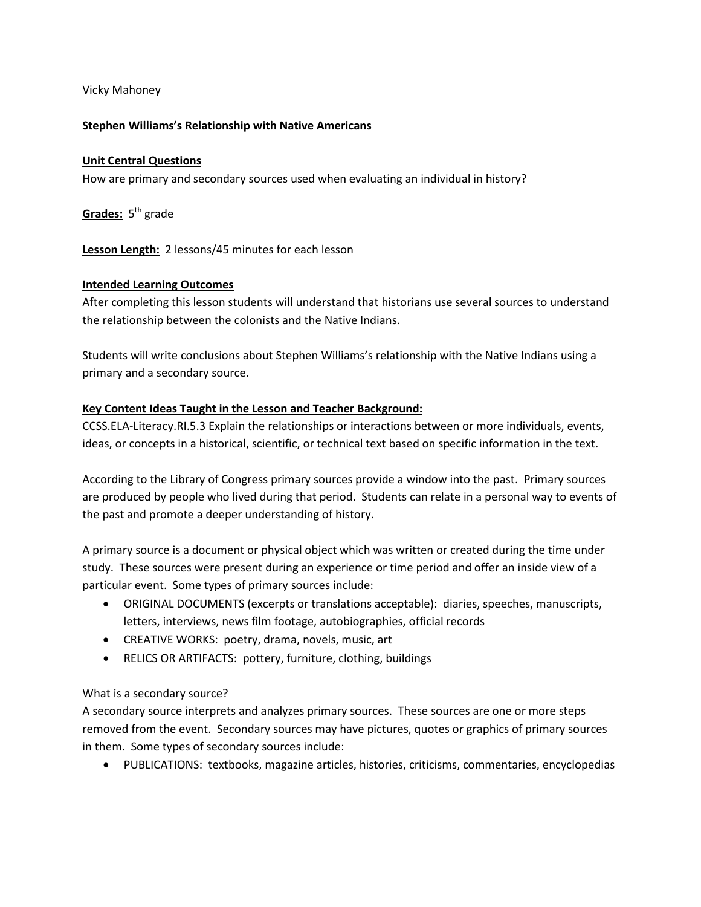### Vicky Mahoney

### **Stephen Williams's Relationship with Native Americans**

# **Unit Central Questions**

How are primary and secondary sources used when evaluating an individual in history?

Grades: 5<sup>th</sup> grade

**Lesson Length:** 2 lessons/45 minutes for each lesson

### **Intended Learning Outcomes**

After completing this lesson students will understand that historians use several sources to understand the relationship between the colonists and the Native Indians.

Students will write conclusions about Stephen Williams's relationship with the Native Indians using a primary and a secondary source.

# **Key Content Ideas Taught in the Lesson and Teacher Background:**

CCSS.ELA-Literacy.RI.5.3 Explain the relationships or interactions between or more individuals, events, ideas, or concepts in a historical, scientific, or technical text based on specific information in the text.

According to the Library of Congress primary sources provide a window into the past. Primary sources are produced by people who lived during that period. Students can relate in a personal way to events of the past and promote a deeper understanding of history.

A primary source is a document or physical object which was written or created during the time under study. These sources were present during an experience or time period and offer an inside view of a particular event. Some types of primary sources include:

- ORIGINAL DOCUMENTS (excerpts or translations acceptable): diaries, speeches, manuscripts, letters, interviews, news film footage, autobiographies, official records
- CREATIVE WORKS: poetry, drama, novels, music, art
- RELICS OR ARTIFACTS: pottery, furniture, clothing, buildings

# What is a secondary source?

A secondary source interprets and analyzes primary sources. These sources are one or more steps removed from the event. Secondary sources may have pictures, quotes or graphics of primary sources in them. Some types of secondary sources include:

• PUBLICATIONS: textbooks, magazine articles, histories, criticisms, commentaries, encyclopedias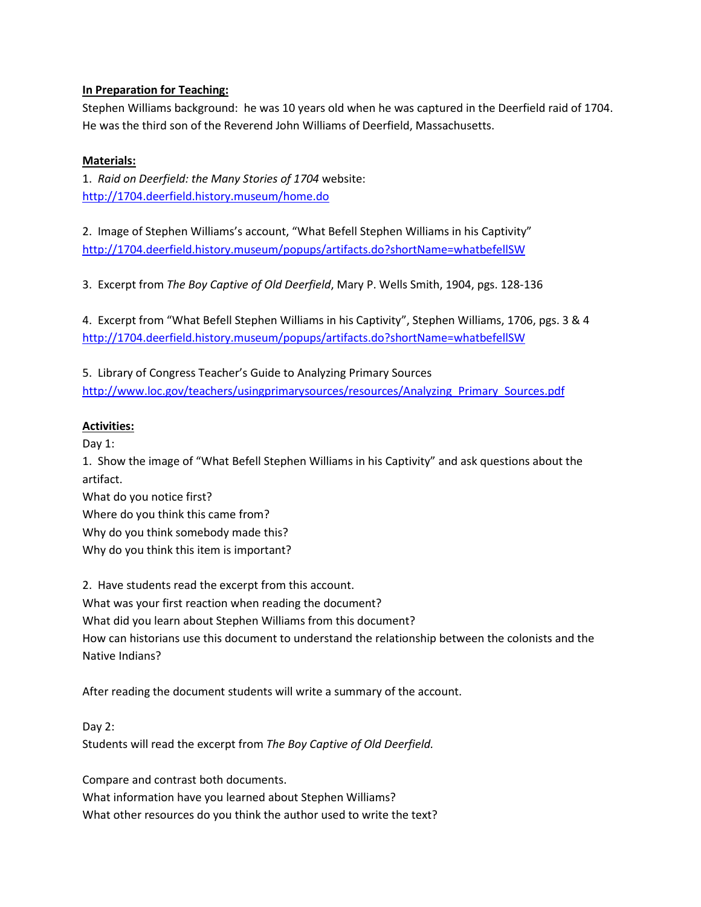# **In Preparation for Teaching:**

Stephen Williams background: he was 10 years old when he was captured in the Deerfield raid of 1704. He was the third son of the Reverend John Williams of Deerfield, Massachusetts.

# **Materials:**

1. *Raid on Deerfield: the Many Stories of 1704* website: <http://1704.deerfield.history.museum/home.do>

2. Image of Stephen Williams's account, "What Befell Stephen Williams in his Captivity" <http://1704.deerfield.history.museum/popups/artifacts.do?shortName=whatbefellSW>

3. Excerpt from *The Boy Captive of Old Deerfield*, Mary P. Wells Smith, 1904, pgs. 128-136

4. Excerpt from "What Befell Stephen Williams in his Captivity", Stephen Williams, 1706, pgs. 3 & 4 <http://1704.deerfield.history.museum/popups/artifacts.do?shortName=whatbefellSW>

5. Library of Congress Teacher's Guide to Analyzing Primary Sources [http://www.loc.gov/teachers/usingprimarysources/resources/Analyzing\\_Primary\\_Sources.pdf](http://www.loc.gov/teachers/usingprimarysources/resources/Analyzing_Primary_Sources.pdf)

# **Activities:**

Day 1:

1. Show the image of "What Befell Stephen Williams in his Captivity" and ask questions about the artifact.

What do you notice first?

Where do you think this came from?

Why do you think somebody made this?

Why do you think this item is important?

2. Have students read the excerpt from this account.

What was your first reaction when reading the document?

What did you learn about Stephen Williams from this document?

How can historians use this document to understand the relationship between the colonists and the Native Indians?

After reading the document students will write a summary of the account.

Day 2:

Students will read the excerpt from *The Boy Captive of Old Deerfield.*

Compare and contrast both documents.

What information have you learned about Stephen Williams?

What other resources do you think the author used to write the text?